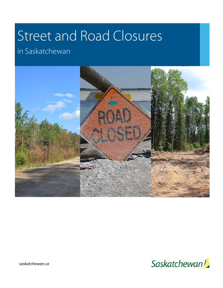# Street and Road Closures

# in Saskatchewan





*saskatchewan.ca*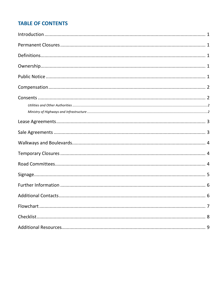# **TABLE OF CONTENTS**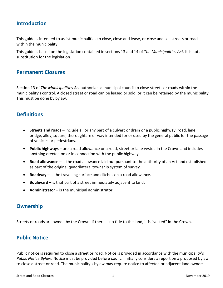# <span id="page-2-0"></span>**Introduction**

This guide is intended to assist municipalities to close, close and lease, or close and sell streets or roads within the municipality.

This guide is based on the legislation contained in sections 13 and 14 of *The Municipalities Act*. It is not a substitution for the legislation.

#### <span id="page-2-1"></span>**Permanent Closures**

Section 13 of *The Municipalities Act* authorizes a municipal council to close streets or roads within the municipality's control. A closed street or road can be leased or sold, or it can be retained by the municipality. This must be done by bylaw.

# <span id="page-2-2"></span>**Definitions**

- **Streets and roads** include all or any part of a culvert or drain or a public highway, road, lane, bridge, alley, square, thoroughfare or way intended for or used by the general public for the passage of vehicles or pedestrians.
- **Public highways**  are a road allowance or a road, street or lane vested in the Crown and includes anything erected on or in connection with the public highway.
- **Road allowance** is the road allowance laid out pursuant to the authority of an Act and established as part of the original quadrilateral township system of survey.
- **Roadway**  is the travelling surface and ditches on a road allowance.
- **Boulevard** is that part of a street immediately adjacent to land.
- **Administrator**  is the municipal administrator.

# <span id="page-2-3"></span>**Ownership**

Streets or roads are owned by the Crown. If there is no title to the land, it is "vested" in the Crown.

# <span id="page-2-4"></span>**Public Notice**

Public notice is required to close a street or road. Notice is provided in accordance with the municipality's *Public Notice Bylaw*. Notice must be provided before council initially considers a report on a proposed bylaw to close a street or road. The municipality's bylaw may require notice to affected or adjacent land owners.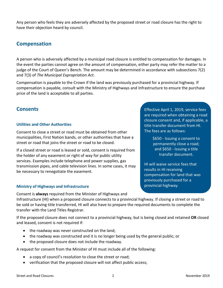Any person who feels they are adversely affected by the proposed street or road closure has the right to have their objection heard by council.

# <span id="page-3-0"></span>**Compensation**

A person who is adversely affected by a municipal road closure is entitled to compensation for damages. In the event the parties cannot agree on the amount of compensation, either party may refer the matter to a judge of the Court of Queen's Bench. The amount may be determined in accordance with subsections 7(2) and 7(3) of *The Municipal Expropriation Act*.

Compensation is payable to the Crown if the land was previously purchased for a provincial highway. If compensation is payable, consult with the Ministry of Highways and Infrastructure to ensure the purchase price of the land is acceptable to all parties.

#### <span id="page-3-1"></span>**Consents**

#### <span id="page-3-2"></span>**Utilities and Other Authorities**

Consent to close a street or road must be obtained from other municipalities, First Nation bands, or other authorities that have a street or road that joins the street or road to be closed.

If a closed street or road is leased or sold, consent is required from the holder of any easement or right of way for public utility services. Examples include telephone and power supplies, gas transmission pipes, and cable television lines. In some cases, it may be necessary to renegotiate the easement.

#### <span id="page-3-3"></span>**Ministry of Highways and Infrastructure**

Consent is **always** required from the Minister of Highways and

Infrastructure (HI) when a proposed closure connects to a provincial highway. If closing a street or road to be sold or having title transferred, HI will also have to prepare the required documents to complete the transfer with the Land Titles Registrar.

If the proposed closure does not connect to a provincial highway, but is being closed and retained **OR** closed and leased, consent is not required if:

- the roadway was never constructed on the land;
- the roadway was constructed and it is no longer being used by the general public; or
- the proposed closure does not include the roadway.

A request for consent from the Minister of HI must include all of the following:

- a copy of council's resolution to close the street or road;
- verification that the proposed closure will not affect public access;

Effective April 1, 2019, service fees are required when obtaining a road closure consent and, if applicable, a title transfer document from HI. The fees are as follows:

> \$650 - Issuing a consent to permanently close a road; and \$650 - Issuing a title transfer document.

HI will waive service fees that results in HI receiving compensation for land that was previously purchased for a provincial highway.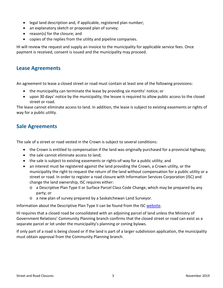- legal land description and, if applicable, registered plan number;
- an explanatory sketch or proposed plan of survey;
- reason(s) for the closure; and
- copies of the replies from the utility and pipeline companies.

HI will review the request and supply an invoice to the municipality for applicable service fees. Once payment is received, consent is issued and the municipality may proceed.

#### <span id="page-4-0"></span>**Lease Agreements**

An agreement to lease a closed street or road must contain at least one of the following provisions:

- the municipality can terminate the lease by providing six months' notice; or
- upon 30 days' notice by the municipality, the lessee is required to allow public access to the closed street or road.

The lease cannot eliminate access to land. In addition, the lease is subject to existing easements or rights of way for a public utility.

# <span id="page-4-1"></span>**Sale Agreements**

The sale of a street or road vested in the Crown is subject to several conditions:

- the Crown is entitled to compensation if the land was originally purchased for a provincial highway;
- the sale cannot eliminate access to land;
- the sale is subject to existing easements or rights-of-way for a public utility; and
- an interest must be registered against the land providing the Crown, a Crown utility, or the municipality the right to request the return of the land without compensation for a public utility or a street or road. In order to register a road closure with Information Services Corporation (ISC) and change the land ownership, ISC requires either:
	- o a Descriptive Plan Type II or Surface Parcel Class Code Change, which may be prepared by any party; or
	- o a new plan of survey prepared by a Saskatchewan Land Surveyor.

Information about the Descriptive Plan Type II can be found from the ISC [website.](https://www.isc.ca/)

HI requires that a closed road be consolidated with an adjoining parcel of land unless the Ministry of Government Relations' Community Planning branch confirms that the closed street or road can exist as a separate parcel or lot under the municipality's planning or zoning bylaws.

If only part of a road is being closed or if the land is part of a larger subdivision application, the municipality must obtain approval from the Community Planning branch.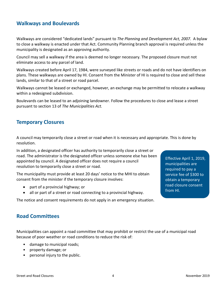#### <span id="page-5-0"></span>**Walkways and Boulevards**

Walkways are considered "dedicated lands" pursuant to *The Planning and Development Act, 2007.* A bylaw to close a walkway is enacted under that Act. Community Planning branch approval is required unless the municipality is designated as an approving authority.

Council may sell a walkway if the area is deemed no longer necessary. The proposed closure must not eliminate access to any parcel of land.

Walkways created before April 17, 1984, were surveyed like streets or roads and do not have identifiers on plans. These walkways are owned by HI. Consent from the Minister of HI is required to close and sell these lands, similar to that of a street or road parcel.

Walkways cannot be leased or exchanged, however, an exchange may be permitted to relocate a walkway within a redesigned subdivision.

Boulevards can be leased to an adjoining landowner. Follow the procedures to close and lease a street pursuant to section 13 of *The Municipalities Act.*

#### <span id="page-5-1"></span>**Temporary Closures**

A council may temporarily close a street or road when it is necessary and appropriate. This is done by resolution.

In addition, a designated officer has authority to temporarily close a street or road. The administrator is the designated officer unless someone else has been appointed by council. A designated officer does not require a council resolution to temporarily close a street or road.

The municipality must provide at least 20 days' notice to the MHI to obtain consent from the minister if the temporary closure involves:

- part of a provincial highway; or
- all or part of a street or road connecting to a provincial highway.

The notice and consent requirements do not apply in an emergency situation.

Effective April 1, 2019, municipalities are required to pay a service fee of \$300 to obtain a temporary road closure consent from HI.

#### <span id="page-5-2"></span>**Road Committees**

Municipalities can appoint a road committee that may prohibit or restrict the use of a municipal road because of poor weather or road conditions to reduce the risk of:

- damage to municipal roads;
- property damage; or
- personal injury to the public.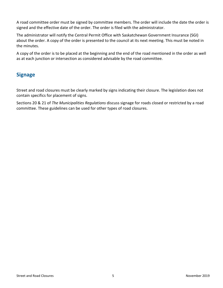A road committee order must be signed by committee members. The order will include the date the order is signed and the effective date of the order. The order is filed with the administrator.

The administrator will notify the Central Permit Office with Saskatchewan Government Insurance (SGI) about the order. A copy of the order is presented to the council at its next meeting. This must be noted in the minutes.

A copy of the order is to be placed at the beginning and the end of the road mentioned in the order as well as at each junction or intersection as considered advisable by the road committee.

# <span id="page-6-0"></span>**Signage**

Street and road closures must be clearly marked by signs indicating their closure. The legislation does not contain specifics for placement of signs.

Sections 20 & 21 of *The Municipalities Regulations* discuss signage for roads closed or restricted by a road committee. These guidelines can be used for other types of road closures.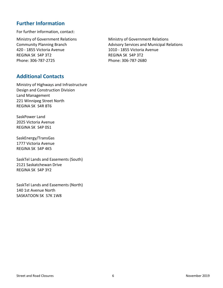# <span id="page-7-0"></span>**Further Information**

For further information, contact:

Ministry of Government Relations **Ministry of Government Relations** 420 - 1855 Victoria Avenue 1010 - 1855 Victoria Avenue REGINA SK S4P 3T2 REGINA SK S4P 3T2 Phone: 306-787-2725 Phone: 306-787-2680

Community Planning Branch **Advisory Services and Municipal Relations** 

#### <span id="page-7-1"></span>**Additional Contacts**

Ministry of Highways and Infrastructure Design and Construction Division Land Management 221 Winnipeg Street North REGINA SK S4R 8T6

SaskPower Land 2025 Victoria Avenue REGINA SK S4P 0S1

SaskEnergy/TransGas 1777 Victoria Avenue REGINA SK S4P 4K5

SaskTel Lands and Easements (South) 2121 Saskatchewan Drive REGINA SK S4P 3Y2

SaskTel Lands and Easements (North) 140 1st Avenue North SASKATOON SK S7K 1W8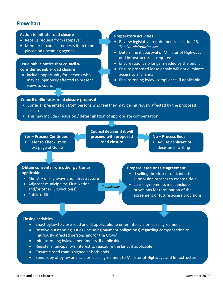# <span id="page-8-0"></span>**Flowchart**

#### **Action to initiate road closure**

- Receive request from ratepayer
- Member of council requests item to be placed on upcoming agenda

#### **Issue public notice that council will consider possible road closure**

• Include opportunity for persons who may be injuriously affected to present views to council

#### **Preparatory activities**

- Review legislative requirements section 13, *The Municipalities Act*
- Determine if approval of Minister of Highways and Infrastructure is required
- Ensure road is no longer needed by the public
- Ensure proposed lease or sale will not eliminate access to any lands
- Ensure zoning bylaw compliance, if applicable

#### **Council deliberates road closure proposal**

- Consider presentation from persons who feel they may be injuriously affected by the proposed closure
- This may include discussion / determination of appropriate compensation

**Yes – Process Continues**

• Refer to **Checklist** on next page of Guide

**Council decides if it will proceed with proposed road closure**

*If applicable*

- **No – Process Ends**
- Advise applicant of decision in writing

#### **Obtain consents from other parties as applicable**

- Ministry of Highways and Infrastructure
- Adjacent municipality, First Nation and/or other jurisdiction(s)
- Public utilities

#### **Prepare lease or sale agreement**

- If selling the closed road, initiate subdivision process to create title(s)
- Lease agreements must include provisions for termination of the agreement or future access provisions

#### **Closing activities**

- Enact bylaw to close road and, if applicable, to enter into sale or lease agreement
- Resolve outstanding issues (including payment obligations) regarding compensation to injuriously affected persons and/or the Crown
- Initiate zoning bylaw amendments, if applicable
- Register municipality's interest to reacquire the land, if applicable
- Ensure closed road is signed at both ends
- Send copy of bylaw and sale or lease agreement to Minister of Highways and Infrastructure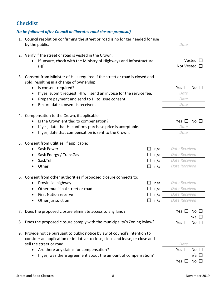# <span id="page-9-0"></span>**Checklist**

#### *(to be followed after Council deliberates road closure proposal)*

|    | 1. Council resolution confirming the street or road is no longer needed for use<br>by the public.                                                                                                                                                                                                                                               | Date                                                                    |
|----|-------------------------------------------------------------------------------------------------------------------------------------------------------------------------------------------------------------------------------------------------------------------------------------------------------------------------------------------------|-------------------------------------------------------------------------|
|    | 2. Verify if the street or road is vested in the Crown.<br>If unsure, check with the Ministry of Highways and Infrastructure<br>(HI).                                                                                                                                                                                                           | Vested<br>Not Vested                                                    |
| 3. | Consent from Minister of HI is required if the street or road is closed and<br>sold, resulting in a change of ownership.<br>Is consent required?<br>$\bullet$<br>If yes, submit request. HI will send an invoice for the service fee.<br>٠<br>Prepare payment and send to HI to issue consent.<br>$\bullet$<br>Record date consent is received. | Yes $\Box$<br>No<br>Date<br>Date<br>Date                                |
|    | 4. Compensation to the Crown, if applicable<br>Is the Crown entitled to compensation?<br>$\bullet$<br>If yes, date that HI confirms purchase price is acceptable.<br>If yes, date that compensation is sent to the Crown.                                                                                                                       | No<br>Yes $\Box$<br>Date<br>Date                                        |
|    | 5. Consent from utilities, if applicable:<br>Sask Power<br>n/a<br>n/a<br>Sask Energy / TransGas<br>SaskTel<br>n/a<br>Other<br>n/a                                                                                                                                                                                                               | Date Received<br>Date Received<br>Date Received<br>Date Received        |
|    | 6. Consent from other authorities if proposed closure connects to:<br>Provincial highway<br>n/a<br>$\bullet$<br>Other municipal street or road<br>n/a<br>٠<br><b>First Nation reserve</b><br>n/a<br>Other jurisdiction<br>n/a                                                                                                                   | Date Received<br>Date Received<br>Date Received<br>Date Received        |
| 7. | Does the proposed closure eliminate access to any land?                                                                                                                                                                                                                                                                                         | Yes $\square$<br>No.<br>n/a                                             |
| 8. | Does the proposed closure comply with the municipality's Zoning Bylaw?                                                                                                                                                                                                                                                                          | Yes $\Box$<br>No $\Box$                                                 |
|    | 9. Provide notice pursuant to public notice bylaw of council's intention to<br>consider an application or initiative to close, close and lease, or close and<br>sell the street or road.<br>Are there any claims for compensation?<br>$\bullet$<br>If yes, was there agreement about the amount of compensation?                                | Date<br>Yes $\Box$<br>No<br>n/a $\square$<br>No $\square$<br>Yes $\Box$ |